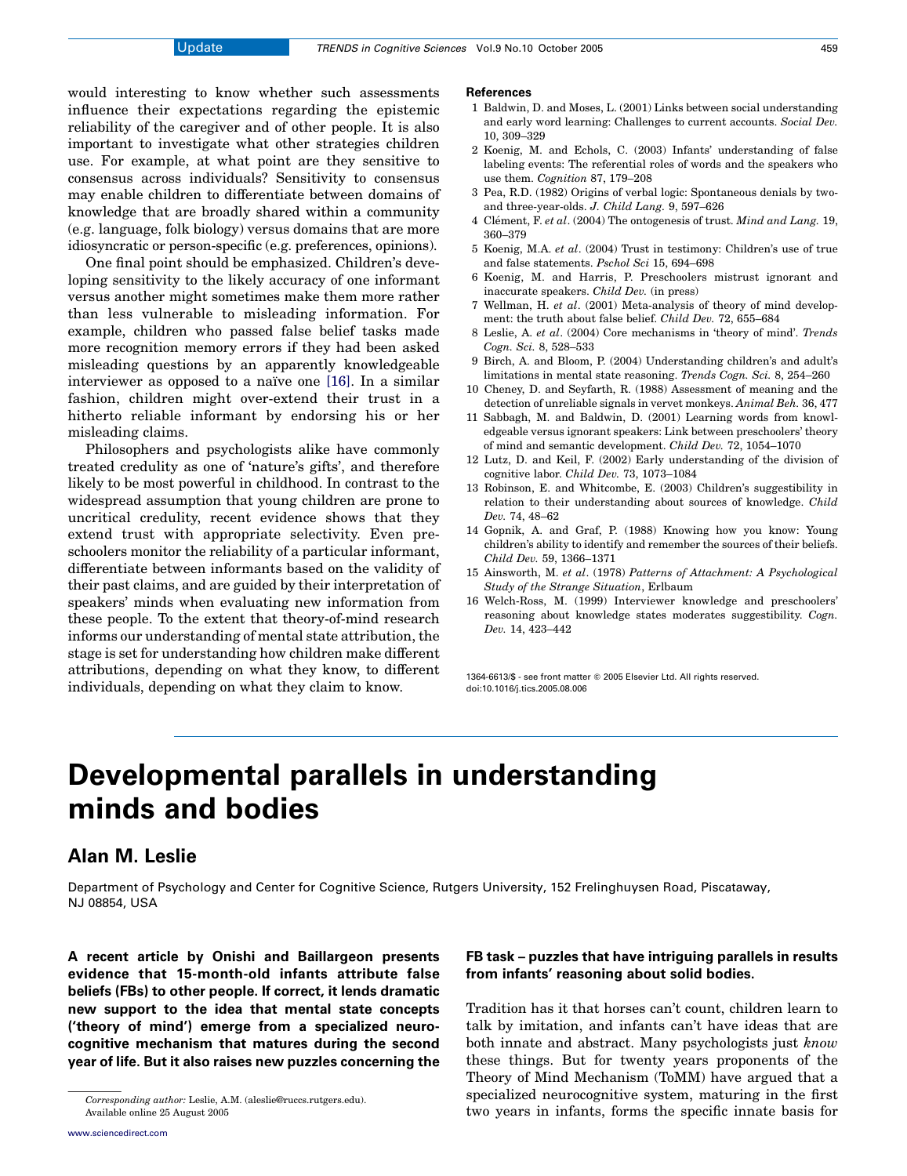would interesting to know whether such assessments influence their expectations regarding the epistemic reliability of the caregiver and of other people. It is also important to investigate what other strategies children use. For example, at what point are they sensitive to consensus across individuals? Sensitivity to consensus may enable children to differentiate between domains of knowledge that are broadly shared within a community (e.g. language, folk biology) versus domains that are more idiosyncratic or person-specific (e.g. preferences, opinions).

One final point should be emphasized. Children's developing sensitivity to the likely accuracy of one informant versus another might sometimes make them more rather than less vulnerable to misleading information. For example, children who passed false belief tasks made more recognition memory errors if they had been asked misleading questions by an apparently knowledgeable interviewer as opposed to a naïve one  $[16]$ . In a similar fashion, children might over-extend their trust in a hitherto reliable informant by endorsing his or her misleading claims.

Philosophers and psychologists alike have commonly treated credulity as one of 'nature's gifts', and therefore likely to be most powerful in childhood. In contrast to the widespread assumption that young children are prone to uncritical credulity, recent evidence shows that they extend trust with appropriate selectivity. Even preschoolers monitor the reliability of a particular informant, differentiate between informants based on the validity of their past claims, and are guided by their interpretation of speakers' minds when evaluating new information from these people. To the extent that theory-of-mind research informs our understanding of mental state attribution, the stage is set for understanding how children make different attributions, depending on what they know, to different individuals, depending on what they claim to know.

#### **References**

- 1 Baldwin, D. and Moses, L. (2001) Links between social understanding and early word learning: Challenges to current accounts. Social Dev. 10, 309–329
- 2 Koenig, M. and Echols, C. (2003) Infants' understanding of false labeling events: The referential roles of words and the speakers who use them. Cognition 87, 179–208
- 3 Pea, R.D. (1982) Origins of verbal logic: Spontaneous denials by twoand three-year-olds. J. Child Lang. 9, 597–626
- 4 Clément, F. et al. (2004) The ontogenesis of trust. Mind and Lang. 19, 360–379
- 5 Koenig, M.A. et al. (2004) Trust in testimony: Children's use of true and false statements. Pschol Sci 15, 694–698
- 6 Koenig, M. and Harris, P. Preschoolers mistrust ignorant and inaccurate speakers. Child Dev. (in press)
- 7 Wellman, H. et al. (2001) Meta-analysis of theory of mind development: the truth about false belief. Child Dev. 72, 655–684
- 8 Leslie, A. et al. (2004) Core mechanisms in 'theory of mind'. Trends Cogn. Sci. 8, 528–533
- 9 Birch, A. and Bloom, P. (2004) Understanding children's and adult's limitations in mental state reasoning. Trends Cogn. Sci. 8, 254–260
- 10 Cheney, D. and Seyfarth, R. (1988) Assessment of meaning and the detection of unreliable signals in vervet monkeys. Animal Beh. 36, 477
- 11 Sabbagh, M. and Baldwin, D. (2001) Learning words from knowledgeable versus ignorant speakers: Link between preschoolers' theory of mind and semantic development. Child Dev. 72, 1054–1070
- 12 Lutz, D. and Keil, F. (2002) Early understanding of the division of cognitive labor. Child Dev. 73, 1073–1084
- 13 Robinson, E. and Whitcombe, E. (2003) Children's suggestibility in relation to their understanding about sources of knowledge. Child Dev. 74, 48–62
- 14 Gopnik, A. and Graf, P. (1988) Knowing how you know: Young children's ability to identify and remember the sources of their beliefs. Child Dev. 59, 1366–1371
- 15 Ainsworth, M. et al. (1978) Patterns of Attachment: A Psychological Study of the Strange Situation, Erlbaum
- 16 Welch-Ross, M. (1999) Interviewer knowledge and preschoolers' reasoning about knowledge states moderates suggestibility. Cogn. Dev. 14, 423–442

1364-6613/\$ - see front matter Q 2005 Elsevier Ltd. All rights reserved. doi:10.1016/j.tics.2005.08.006

# Developmental parallels in understanding minds and bodies

### Alan M. Leslie

Department of Psychology and Center for Cognitive Science, Rutgers University, 152 Frelinghuysen Road, Piscataway, NJ 08854, USA

A recent article by Onishi and Baillargeon presents evidence that 15-month-old infants attribute false beliefs (FBs) to other people. If correct, it lends dramatic new support to the idea that mental state concepts ('theory of mind') emerge from a specialized neurocognitive mechanism that matures during the second year of life. But it also raises new puzzles concerning the

### FB task – puzzles that have intriguing parallels in results from infants' reasoning about solid bodies.

Tradition has it that horses can't count, children learn to talk by imitation, and infants can't have ideas that are both innate and abstract. Many psychologists just know these things. But for twenty years proponents of the Theory of Mind Mechanism (ToMM) have argued that a specialized neurocognitive system, maturing in the first two years in infants, forms the specific innate basis for

Corresponding author: Leslie, A.M. (aleslie@ruccs.rutgers.edu). Available online 25 August 2005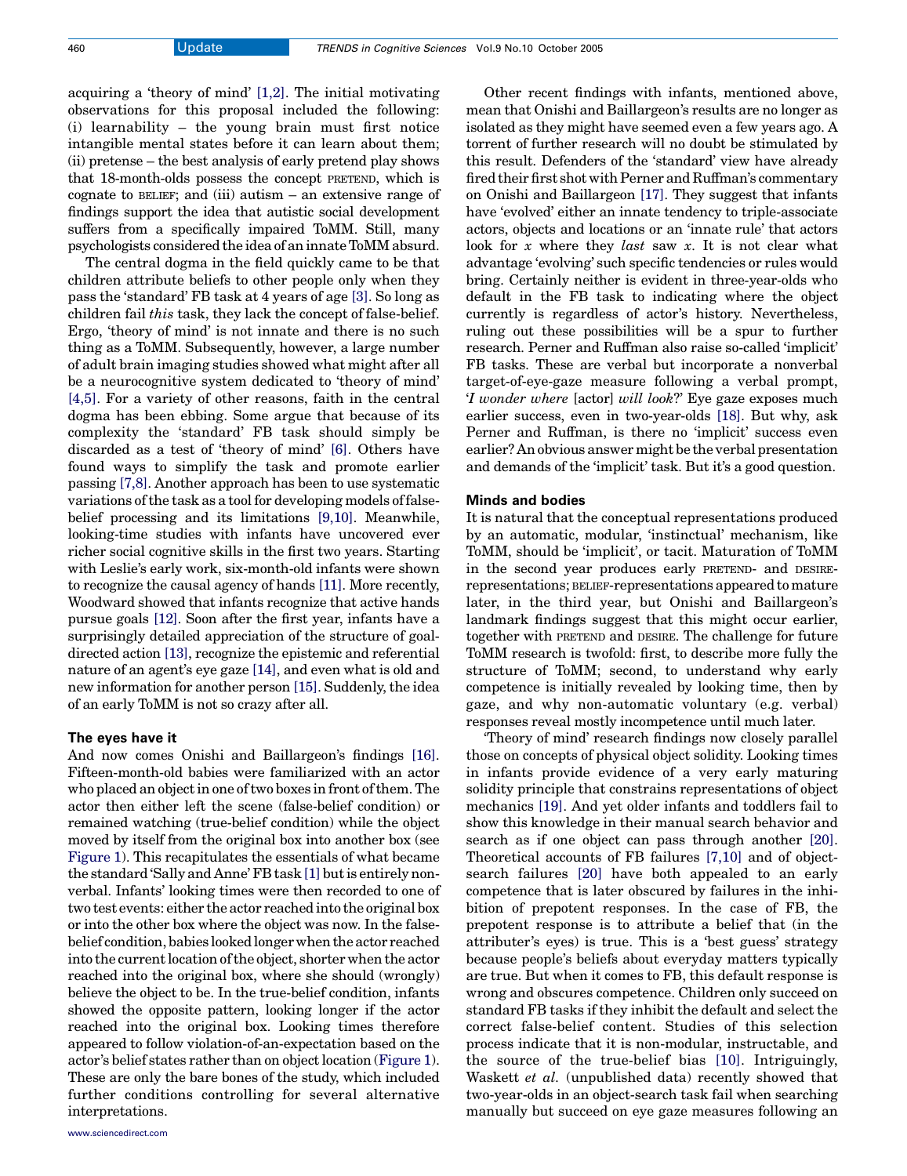acquiring a 'theory of mind' [\[1,2\].](#page-2-0) The initial motivating observations for this proposal included the following: (i) learnability – the young brain must first notice intangible mental states before it can learn about them; (ii) pretense – the best analysis of early pretend play shows that 18-month-olds possess the concept PRETEND, which is cognate to BELIEF; and (iii) autism – an extensive range of findings support the idea that autistic social development suffers from a specifically impaired ToMM. Still, many psychologists considered the idea of an innate ToMM absurd.

The central dogma in the field quickly came to be that children attribute beliefs to other people only when they pass the 'standard' FB task at 4 years of age [\[3\].](#page-2-0) So long as children fail this task, they lack the concept of false-belief. Ergo, 'theory of mind' is not innate and there is no such thing as a ToMM. Subsequently, however, a large number of adult brain imaging studies showed what might after all be a neurocognitive system dedicated to 'theory of mind' [\[4,5\]](#page-2-0). For a variety of other reasons, faith in the central dogma has been ebbing. Some argue that because of its complexity the 'standard' FB task should simply be discarded as a test of 'theory of mind' [\[6\].](#page-2-0) Others have found ways to simplify the task and promote earlier passing [\[7,8\].](#page-2-0) Another approach has been to use systematic variations of the task as a tool for developing models of falsebelief processing and its limitations [\[9,10\].](#page-3-0) Meanwhile, looking-time studies with infants have uncovered ever richer social cognitive skills in the first two years. Starting with Leslie's early work, six-month-old infants were shown to recognize the causal agency of hands [\[11\]](#page-3-0). More recently, Woodward showed that infants recognize that active hands pursue goals [\[12\]](#page-3-0). Soon after the first year, infants have a surprisingly detailed appreciation of the structure of goaldirected action [\[13\]](#page-3-0), recognize the epistemic and referential nature of an agent's eye gaze [\[14\],](#page-3-0) and even what is old and new information for another person [\[15\]](#page-3-0). Suddenly, the idea of an early ToMM is not so crazy after all.

#### The eyes have it

And now comes Onishi and Baillargeon's findings [\[16\]](#page-3-0). Fifteen-month-old babies were familiarized with an actor who placed an object in one of two boxes in front of them. The actor then either left the scene (false-belief condition) or remained watching (true-belief condition) while the object moved by itself from the original box into another box (see [Figure 1\)](#page-2-0). This recapitulates the essentials of what became the standard 'Sally and Anne' FB task[\[1\]](#page-2-0) but is entirely nonverbal. Infants' looking times were then recorded to one of two test events: either the actor reached into the original box or into the other box where the object was now. In the falsebelief condition, babies looked longer when the actor reached into the current location of the object, shorter when the actor reached into the original box, where she should (wrongly) believe the object to be. In the true-belief condition, infants showed the opposite pattern, looking longer if the actor reached into the original box. Looking times therefore appeared to follow violation-of-an-expectation based on the actor's belief states rather than on object location ([Figure 1](#page-2-0)). These are only the bare bones of the study, which included further conditions controlling for several alternative interpretations.

Other recent findings with infants, mentioned above, mean that Onishi and Baillargeon's results are no longer as isolated as they might have seemed even a few years ago. A torrent of further research will no doubt be stimulated by this result. Defenders of the 'standard' view have already fired their first shot with Perner and Ruffman's commentary on Onishi and Baillargeon [\[17\].](#page-3-0) They suggest that infants have 'evolved' either an innate tendency to triple-associate actors, objects and locations or an 'innate rule' that actors look for x where they *last* saw x. It is not clear what advantage 'evolving' such specific tendencies or rules would bring. Certainly neither is evident in three-year-olds who default in the FB task to indicating where the object currently is regardless of actor's history. Nevertheless, ruling out these possibilities will be a spur to further research. Perner and Ruffman also raise so-called 'implicit' FB tasks. These are verbal but incorporate a nonverbal target-of-eye-gaze measure following a verbal prompt, 'I wonder where [actor] will look?' Eye gaze exposes much earlier success, even in two-year-olds [\[18\]](#page-3-0). But why, ask Perner and Ruffman, is there no 'implicit' success even earlier? An obvious answer might be the verbal presentation and demands of the 'implicit' task. But it's a good question.

#### Minds and bodies

It is natural that the conceptual representations produced by an automatic, modular, 'instinctual' mechanism, like ToMM, should be 'implicit', or tacit. Maturation of ToMM in the second year produces early PRETEND- and DESIRErepresentations; BELIEF-representations appeared to mature later, in the third year, but Onishi and Baillargeon's landmark findings suggest that this might occur earlier, together with PRETEND and DESIRE. The challenge for future ToMM research is twofold: first, to describe more fully the structure of ToMM; second, to understand why early competence is initially revealed by looking time, then by gaze, and why non-automatic voluntary (e.g. verbal) responses reveal mostly incompetence until much later.

'Theory of mind' research findings now closely parallel those on concepts of physical object solidity. Looking times in infants provide evidence of a very early maturing solidity principle that constrains representations of object mechanics [\[19\]](#page-3-0). And yet older infants and toddlers fail to show this knowledge in their manual search behavior and search as if one object can pass through another [\[20\]](#page-3-0). Theoretical accounts of FB failures [\[7,10\]](#page-2-0) and of objectsearch failures [\[20\]](#page-3-0) have both appealed to an early competence that is later obscured by failures in the inhibition of prepotent responses. In the case of FB, the prepotent response is to attribute a belief that (in the attributer's eyes) is true. This is a 'best guess' strategy because people's beliefs about everyday matters typically are true. But when it comes to FB, this default response is wrong and obscures competence. Children only succeed on standard FB tasks if they inhibit the default and select the correct false-belief content. Studies of this selection process indicate that it is non-modular, instructable, and the source of the true-belief bias [\[10\]](#page-3-0). Intriguingly, Waskett et al. (unpublished data) recently showed that two-year-olds in an object-search task fail when searching manually but succeed on eye gaze measures following an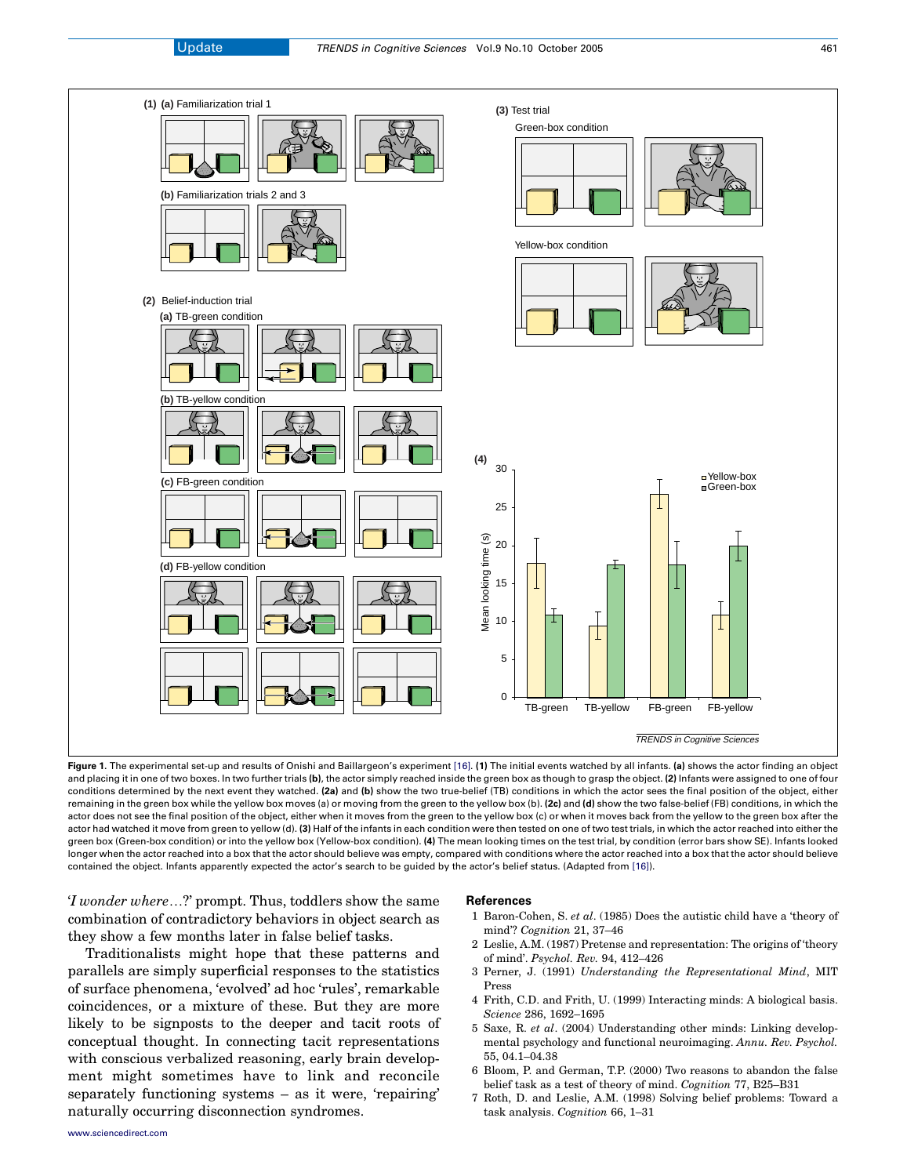<span id="page-2-0"></span>

Figure 1. The experimental set-up and results of Onishi and Baillargeon's experiment [\[16\].](#page-3-0) (1) The initial events watched by all infants. (a) shows the actor finding an object and placing it in one of two boxes. In two further trials (b), the actor simply reached inside the green box as though to grasp the object. (2) Infants were assigned to one of four conditions determined by the next event they watched. (2a) and (b) show the two true-belief (TB) conditions in which the actor sees the final position of the object, either remaining in the green box while the yellow box moves (a) or moving from the green to the yellow box (b). (2c) and (d) show the two false-belief (FB) conditions, in which the actor does not see the final position of the object, either when it moves from the green to the yellow box (c) or when it moves back from the yellow to the green box after the actor had watched it move from green to yellow (d). (3) Half of the infants in each condition were then tested on one of two test trials, in which the actor reached into either the green box (Green-box condition) or into the yellow box (Yellow-box condition). (4) The mean looking times on the test trial, by condition (error bars show SE). Infants looked longer when the actor reached into a box that the actor should believe was empty, compared with conditions where the actor reached into a box that the actor should believe contained the object. Infants apparently expected the actor's search to be guided by the actor's belief status. (Adapted from [\[16\]](#page-3-0)).

'I wonder where*.*?' prompt. Thus, toddlers show the same combination of contradictory behaviors in object search as they show a few months later in false belief tasks.

Traditionalists might hope that these patterns and parallels are simply superficial responses to the statistics of surface phenomena, 'evolved' ad hoc 'rules', remarkable coincidences, or a mixture of these. But they are more likely to be signposts to the deeper and tacit roots of conceptual thought. In connecting tacit representations with conscious verbalized reasoning, early brain development might sometimes have to link and reconcile separately functioning systems – as it were, 'repairing' naturally occurring disconnection syndromes.

#### References

- 1 Baron-Cohen, S. et al. (1985) Does the autistic child have a 'theory of mind'? Cognition 21, 37–46
- 2 Leslie, A.M. (1987) Pretense and representation: The origins of 'theory of mind'. Psychol. Rev. 94, 412–426
- 3 Perner, J. (1991) Understanding the Representational Mind, MIT Press
- 4 Frith, C.D. and Frith, U. (1999) Interacting minds: A biological basis. Science 286, 1692–1695
- 5 Saxe, R. et al. (2004) Understanding other minds: Linking developmental psychology and functional neuroimaging. Annu. Rev. Psychol. 55, 04.1–04.38
- 6 Bloom, P. and German, T.P. (2000) Two reasons to abandon the false belief task as a test of theory of mind. Cognition 77, B25–B31
- 7 Roth, D. and Leslie, A.M. (1998) Solving belief problems: Toward a task analysis. Cognition 66, 1–31